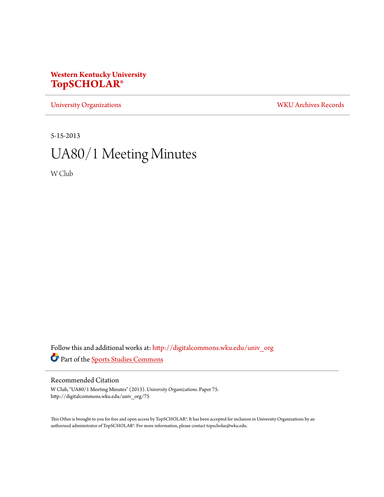# **Western Kentucky University [TopSCHOLAR®](http://digitalcommons.wku.edu?utm_source=digitalcommons.wku.edu%2Funiv_org%2F75&utm_medium=PDF&utm_campaign=PDFCoverPages)**

[University Organizations](http://digitalcommons.wku.edu/univ_org?utm_source=digitalcommons.wku.edu%2Funiv_org%2F75&utm_medium=PDF&utm_campaign=PDFCoverPages) [WKU Archives Records](http://digitalcommons.wku.edu/dlsc_ua_records?utm_source=digitalcommons.wku.edu%2Funiv_org%2F75&utm_medium=PDF&utm_campaign=PDFCoverPages)

5-15-2013

# UA80/1 Meeting Minutes

W Club

Follow this and additional works at: [http://digitalcommons.wku.edu/univ\\_org](http://digitalcommons.wku.edu/univ_org?utm_source=digitalcommons.wku.edu%2Funiv_org%2F75&utm_medium=PDF&utm_campaign=PDFCoverPages) Part of the [Sports Studies Commons](http://network.bepress.com/hgg/discipline/1198?utm_source=digitalcommons.wku.edu%2Funiv_org%2F75&utm_medium=PDF&utm_campaign=PDFCoverPages)

#### Recommended Citation

W Club, "UA80/1 Meeting Minutes" (2013). *University Organizations.* Paper 75. http://digitalcommons.wku.edu/univ\_org/75

This Other is brought to you for free and open access by TopSCHOLAR®. It has been accepted for inclusion in University Organizations by an authorized administrator of TopSCHOLAR®. For more information, please contact topscholar@wku.edu.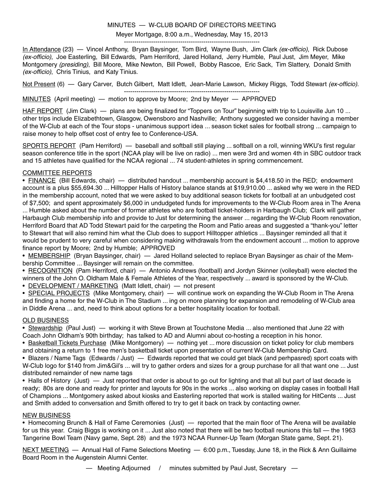#### MINUTES — W-CLUB BOARD OF DIRECTORS MEETING

#### Meyer Mortgage, 8:00 a.m., Wednesday, May 15, 2013

----------------------------------------------------------------- In Attendance (23) — Vincel Anthony, Bryan Baysinger, Tom Bird, Wayne Bush, Jim Clark (ex-officio), Rick Dubose (ex-officio), Joe Easterling, Bill Edwards, Pam Herriford, Jared Holland, Jerry Humble, Paul Just, Jim Meyer, Mike Montgomery (presiding), Bill Moore, Mike Newton, Bill Powell, Bobby Rascoe, Eric Sack, Tim Slattery, Donald Smith (ex-officio), Chris Tinius, and Katy Tinius.

Not Present (6) — Gary Carver, Butch Gilbert, Matt Idlett, Jean-Marie Lawson, Mickey Riggs, Todd Stewart (ex-officio).

-----------------------------------------------------------------

MINUTES (April meeting) — motion to approve by Moore; 2nd by Meyer — APPROVED

HAF REPORT (Jim Clark) — plans are being finalized for "Toppers on Tour" beginning with trip to Louisville Jun 10 ... other trips include Elizabethtown, Glasgow, Owensboro and Nashville; Anthony suggested we consider having a member of the W-Club at each of the Tour stops - unanimous support idea ... season ticket sales for football strong ... campaign to raise money to help offset cost of entry fee to Conference-USA.

SPORTS REPORT (Pam Herriford) — baseball and softball still playing ... softball on a roll, winning WKU's first regular season conference title in the sport (NCAA play will be live on radio) ... men were 3rd and women 4th in SBC outdoor track and 15 athletes have qualified for the NCAA regional ... 74 student-athletes in spring commencement.

#### COMMITTEE REPORTS

• FINANCE (Bill Edwards, chair) — distributed handout ... membership account is \$4,418.50 in the RED; endowment account is a plus \$55,694.30 ... Hilltopper Halls of History balance stands at \$19,910.00 ... asked why we were in the RED in the membership account, noted that we were asked to buy additional season tickets for football at an unbudgeted cost of \$7,500; and spent approximately \$6,000 in undudgeted funds for improvements to the W-Club Room area in The Arena ... Humble asked about the number of former athletes who are football ticket-holders in Harbaugh Club; Clark will gather Harbaugh Club membership info and provide to Just for determining the answer ... regarding the W-Club Room renovation, Herriford Board that AD Todd Stewart paid for the carpeting the Room and Patio areas and suggested a "thank-you" letter to Stewart that will also remind him what the Club does to support Hilltopper athletics ... Baysinger reminded all that it would be prudent to very careful when considering making withdrawals from the endowment account ... motion to approve finance report by Moore; 2nd by Humble; APPROVED

• MEMBERSHIP (Bryan Baysinger, chair) — Jared Holland selected to replace Bryan Baysinger as chair of the Membership Committee ... Baysinger will remain on the committee.

• RECOGNITION (Pam Herriford, chair) — Antonio Andrews (football) and Jordyn Skinner (volleyball) were elected the winners of the John O. Oldham Male & Female Athletes of the Year, respectively ... award is sponsored by the W-Club.

• DEVELOPMENT / MARKETING (Matt Idlett, chair) - not present

• SPECIAL PROJECTS (Mike Montgomery, chair) — will continue work on expanding the W-Club Room in The Arena and finding a home for the W-Club in The Stadium ... ing on more planning for expansion and remodeling of W-Club area in Diddle Arena ... and, need to think about options for a better hospitality location for football.

#### OLD BUSINESS

• Stewardship (Paul Just) — working it with Steve Brown at Touchstone Media ... also mentioned that June 22 with Coach John Oldham's 90th birthday; has talked to AD and Alumni about co-hosting a reception in his honor.

• Basketball Tickets Purchase (Mike Montgomery) — nothing yet ... more discussion on ticket policy for club members and obtaining a return to 1 free men's basketball ticket upon presentation of current W-Club Membership Card.

• Blazers / Name Tags (Edwards / Just) — Edwards reported that we could get black (and perhpasred) sport coats with W-Club logo for \$140 from Jim&Gil's ... will try to gather orders and sizes for a group purchase for all that want one ... Just distributed remainder of new name tags

• Halls of History (Just) — Just reported that order is about to go out for lighting and that all but part of last decade is ready; 80s are done and ready for printer and layouts for 90s in the works ... also working on display cases in football Hall of Champions ... Montgomery asked about kiosks and Easterling reported that work is stalled waiting for HitCents ... Just and Smith added to conversation and Smith offered to try to get it back on track by contacting owner.

#### NEW BUSINESS

• Homecoming Brunch & Hall of Fame Ceremonies (Just) — reported that the main floor of The Arena will be available for us this year. Craig Biggs is working on it ... Just also noted that there will be two football reunions this fall — the 1963 Tangerine Bowl Team (Navy game, Sept. 28) and the 1973 NCAA Runner-Up Team (Morgan State game, Sept. 21).

NEXT MEETING — Annual Hall of Fame Selections Meeting — 6:00 p.m., Tuesday, June 18, in the Rick & Ann Guillaime Board Room in the Augenstein Alumni Center.

— Meeting Adjourned / minutes submitted by Paul Just, Secretary —